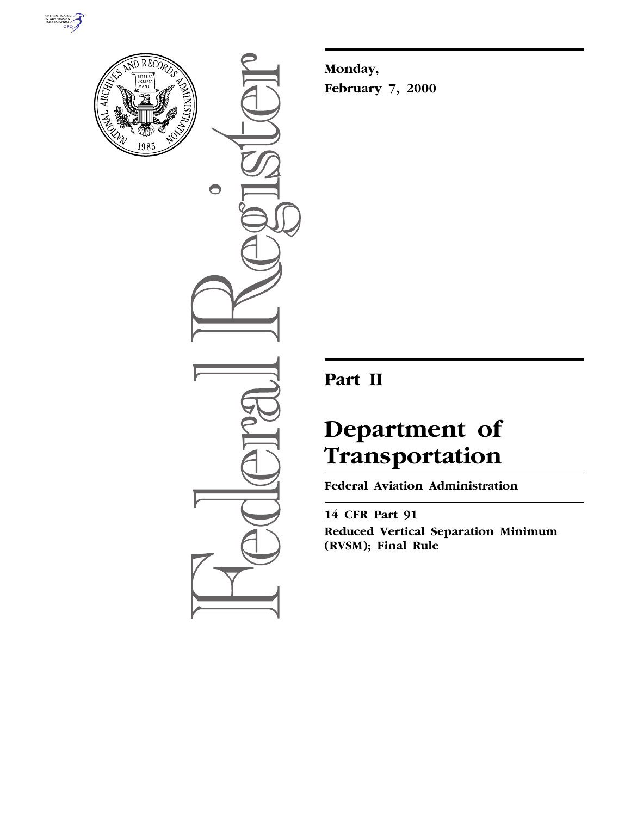



 $\bigcirc$ 

**Monday, February 7, 2000**

# **Part II**

# **Department of Transportation**

**Federal Aviation Administration**

**14 CFR Part 91 Reduced Vertical Separation Minimum (RVSM); Final Rule**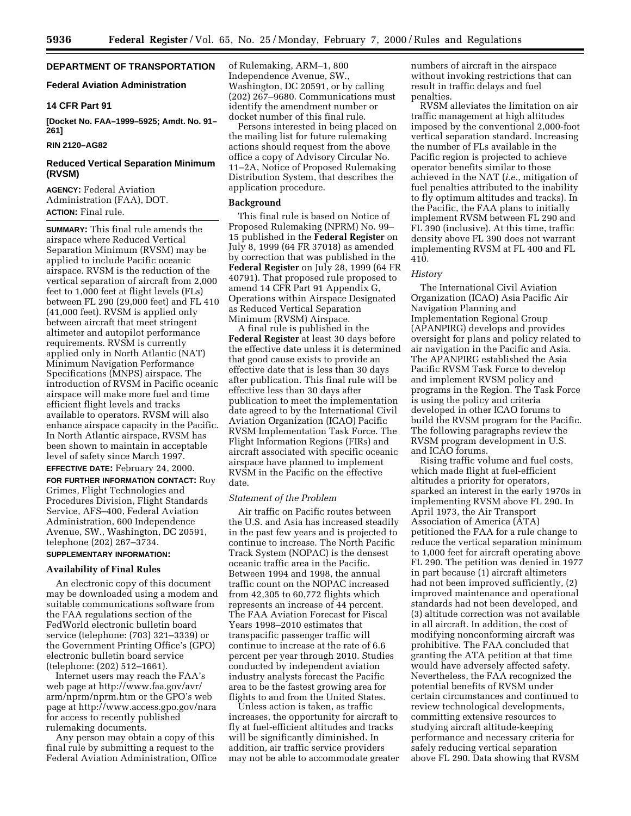# **DEPARTMENT OF TRANSPORTATION**

# **Federal Aviation Administration**

### **14 CFR Part 91**

**[Docket No. FAA–1999–5925; Amdt. No. 91– 261]**

# **RIN 2120–AG82**

# **Reduced Vertical Separation Minimum (RVSM)**

**AGENCY:** Federal Aviation Administration (FAA), DOT. **ACTION:** Final rule.

**SUMMARY:** This final rule amends the airspace where Reduced Vertical Separation Minimum (RVSM) may be applied to include Pacific oceanic airspace. RVSM is the reduction of the vertical separation of aircraft from 2,000 feet to 1,000 feet at flight levels (FLs) between FL 290 (29,000 feet) and FL 410 (41,000 feet). RVSM is applied only between aircraft that meet stringent altimeter and autopilot performance requirements. RVSM is currently applied only in North Atlantic (NAT) Minimum Navigation Performance Specifications (MNPS) airspace. The introduction of RVSM in Pacific oceanic airspace will make more fuel and time efficient flight levels and tracks available to operators. RVSM will also enhance airspace capacity in the Pacific. In North Atlantic airspace, RVSM has been shown to maintain in acceptable level of safety since March 1997.

**EFFECTIVE DATE:** February 24, 2000.

**FOR FURTHER INFORMATION CONTACT:** Roy Grimes, Flight Technologies and Procedures Division, Flight Standards Service, AFS–400, Federal Aviation Administration, 600 Independence Avenue, SW., Washington, DC 20591, telephone (202) 267–3734. **SUPPLEMENTARY INFORMATION:**

# **Availability of Final Rules**

An electronic copy of this document may be downloaded using a modem and suitable communications software from the FAA regulations section of the FedWorld electronic bulletin board service (telephone: (703) 321–3339) or the Government Printing Office's (GPO) electronic bulletin board service (telephone: (202) 512–1661).

Internet users may reach the FAA's web page at http://www.faa.gov/avr/ arm/nprm/nprm.htm or the GPO's web page at http://www.access.gpo.gov/nara for access to recently published rulemaking documents.

Any person may obtain a copy of this final rule by submitting a request to the Federal Aviation Administration, Office of Rulemaking, ARM–1, 800 Independence Avenue, SW., Washington, DC 20591, or by calling (202) 267–9680. Communications must identify the amendment number or docket number of this final rule.

Persons interested in being placed on the mailing list for future rulemaking actions should request from the above office a copy of Advisory Circular No. 11–2A, Notice of Proposed Rulemaking Distribution System, that describes the application procedure.

### **Background**

This final rule is based on Notice of Proposed Rulemaking (NPRM) No. 99– 15 published in the **Federal Register** on July 8, 1999 (64 FR 37018) as amended by correction that was published in the **Federal Register** on July 28, 1999 (64 FR 40791). That proposed rule proposed to amend 14 CFR Part 91 Appendix G, Operations within Airspace Designated as Reduced Vertical Separation Minimum (RVSM) Airspace.

A final rule is published in the **Federal Register** at least 30 days before the effective date unless it is determined that good cause exists to provide an effective date that is less than 30 days after publication. This final rule will be effective less than 30 days after publication to meet the implementation date agreed to by the International Civil Aviation Organization (ICAO) Pacific RVSM Implementation Task Force. The Flight Information Regions (FIRs) and aircraft associated with specific oceanic airspace have planned to implement RVSM in the Pacific on the effective date.

#### *Statement of the Problem*

Air traffic on Pacific routes between the U.S. and Asia has increased steadily in the past few years and is projected to continue to increase. The North Pacific Track System (NOPAC) is the densest oceanic traffic area in the Pacific. Between 1994 and 1998, the annual traffic count on the NOPAC increased from 42,305 to 60,772 flights which represents an increase of 44 percent. The FAA Aviation Forecast for Fiscal Years 1998–2010 estimates that transpacific passenger traffic will continue to increase at the rate of 6.6 percent per year through 2010. Studies conducted by independent aviation industry analysts forecast the Pacific area to be the fastest growing area for flights to and from the United States.

Unless action is taken, as traffic increases, the opportunity for aircraft to fly at fuel-efficient altitudes and tracks will be significantly diminished. In addition, air traffic service providers may not be able to accommodate greater numbers of aircraft in the airspace without invoking restrictions that can result in traffic delays and fuel penalties.

RVSM alleviates the limitation on air traffic management at high altitudes imposed by the conventional 2,000-foot vertical separation standard. Increasing the number of FLs available in the Pacific region is projected to achieve operator benefits similar to those achieved in the NAT (*i.e.,* mitigation of fuel penalties attributed to the inability to fly optimum altitudes and tracks). In the Pacific, the FAA plans to initially implement RVSM between FL 290 and FL 390 (inclusive). At this time, traffic density above FL 390 does not warrant implementing RVSM at FL 400 and FL 410.

#### *History*

The International Civil Aviation Organization (ICAO) Asia Pacific Air Navigation Planning and Implementation Regional Group (APANPIRG) develops and provides oversight for plans and policy related to air navigation in the Pacific and Asia. The APANPIRG established the Asia Pacific RVSM Task Force to develop and implement RVSM policy and programs in the Region. The Task Force is using the policy and criteria developed in other ICAO forums to build the RVSM program for the Pacific. The following paragraphs review the RVSM program development in U.S. and ICAO forums.

Rising traffic volume and fuel costs, which made flight at fuel-efficient altitudes a priority for operators, sparked an interest in the early 1970s in implementing RVSM above FL 290. In April 1973, the Air Transport Association of America (ATA) petitioned the FAA for a rule change to reduce the vertical separation minimum to 1,000 feet for aircraft operating above FL 290. The petition was denied in 1977 in part because (1) aircraft altimeters had not been improved sufficiently, (2) improved maintenance and operational standards had not been developed, and (3) altitude correction was not available in all aircraft. In addition, the cost of modifying nonconforming aircraft was prohibitive. The FAA concluded that granting the ATA petition at that time would have adversely affected safety. Nevertheless, the FAA recognized the potential benefits of RVSM under certain circumstances and continued to review technological developments, committing extensive resources to studying aircraft altitude-keeping performance and necessary criteria for safely reducing vertical separation above FL 290. Data showing that RVSM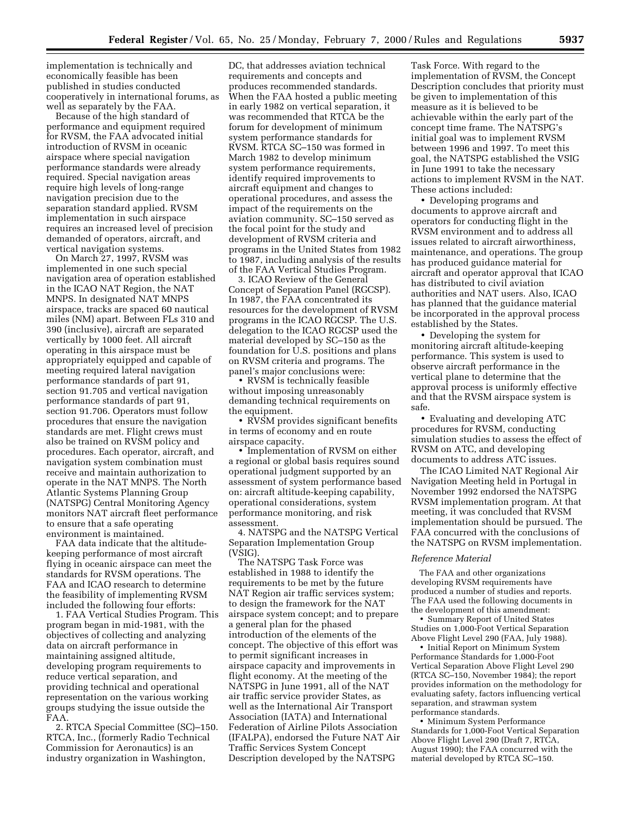implementation is technically and economically feasible has been published in studies conducted cooperatively in international forums, as well as separately by the FAA.

Because of the high standard of performance and equipment required for RVSM, the FAA advocated initial introduction of RVSM in oceanic airspace where special navigation performance standards were already required. Special navigation areas require high levels of long-range navigation precision due to the separation standard applied. RVSM implementation in such airspace requires an increased level of precision demanded of operators, aircraft, and vertical navigation systems.

On March 27, 1997, RVSM was implemented in one such special navigation area of operation established in the ICAO NAT Region, the NAT MNPS. In designated NAT MNPS airspace, tracks are spaced 60 nautical miles (NM) apart. Between FLs 310 and 390 (inclusive), aircraft are separated vertically by 1000 feet. All aircraft operating in this airspace must be appropriately equipped and capable of meeting required lateral navigation performance standards of part 91, section 91.705 and vertical navigation performance standards of part 91, section 91.706. Operators must follow procedures that ensure the navigation standards are met. Flight crews must also be trained on RVSM policy and procedures. Each operator, aircraft, and navigation system combination must receive and maintain authorization to operate in the NAT MNPS. The North Atlantic Systems Planning Group (NATSPG) Central Monitoring Agency monitors NAT aircraft fleet performance to ensure that a safe operating environment is maintained.

FAA data indicate that the altitudekeeping performance of most aircraft flying in oceanic airspace can meet the standards for RVSM operations. The FAA and ICAO research to determine the feasibility of implementing RVSM included the following four efforts:

1. FAA Vertical Studies Program. This program began in mid-1981, with the objectives of collecting and analyzing data on aircraft performance in maintaining assigned altitude, developing program requirements to reduce vertical separation, and providing technical and operational representation on the various working groups studying the issue outside the FAA.

2. RTCA Special Committee (SC)–150. RTCA, Inc., (formerly Radio Technical Commission for Aeronautics) is an industry organization in Washington,

DC, that addresses aviation technical requirements and concepts and produces recommended standards. When the FAA hosted a public meeting in early 1982 on vertical separation, it was recommended that RTCA be the forum for development of minimum system performance standards for RVSM. RTCA SC–150 was formed in March 1982 to develop minimum system performance requirements, identify required improvements to aircraft equipment and changes to operational procedures, and assess the impact of the requirements on the aviation community. SC–150 served as the focal point for the study and development of RVSM criteria and programs in the United States from 1982 to 1987, including analysis of the results of the FAA Vertical Studies Program.

3. ICAO Review of the General Concept of Separation Panel (RGCSP). In 1987, the FAA concentrated its resources for the development of RVSM programs in the ICAO RGCSP. The U.S. delegation to the ICAO RGCSP used the material developed by SC–150 as the foundation for U.S. positions and plans on RVSM criteria and programs. The panel's major conclusions were:

• RVSM is technically feasible without imposing unreasonably demanding technical requirements on the equipment.

• RVSM provides significant benefits in terms of economy and en route airspace capacity.

• Implementation of RVSM on either a regional or global basis requires sound operational judgment supported by an assessment of system performance based on: aircraft altitude-keeping capability, operational considerations, system performance monitoring, and risk assessment.

4. NATSPG and the NATSPG Vertical Separation Implementation Group (VSIG).

The NATSPG Task Force was established in 1988 to identify the requirements to be met by the future NAT Region air traffic services system; to design the framework for the NAT airspace system concept; and to prepare a general plan for the phased introduction of the elements of the concept. The objective of this effort was to permit significant increases in airspace capacity and improvements in flight economy. At the meeting of the NATSPG in June 1991, all of the NAT air traffic service provider States, as well as the International Air Transport Association (IATA) and International Federation of Airline Pilots Association (IFALPA), endorsed the Future NAT Air Traffic Services System Concept Description developed by the NATSPG

Task Force. With regard to the implementation of RVSM, the Concept Description concludes that priority must be given to implementation of this measure as it is believed to be achievable within the early part of the concept time frame. The NATSPG's initial goal was to implement RVSM between 1996 and 1997. To meet this goal, the NATSPG established the VSIG in June 1991 to take the necessary actions to implement RVSM in the NAT. These actions included:

• Developing programs and documents to approve aircraft and operators for conducting flight in the RVSM environment and to address all issues related to aircraft airworthiness, maintenance, and operations. The group has produced guidance material for aircraft and operator approval that ICAO has distributed to civil aviation authorities and NAT users. Also, ICAO has planned that the guidance material be incorporated in the approval process established by the States.

• Developing the system for monitoring aircraft altitude-keeping performance. This system is used to observe aircraft performance in the vertical plane to determine that the approval process is uniformly effective and that the RVSM airspace system is safe.

• Evaluating and developing ATC procedures for RVSM, conducting simulation studies to assess the effect of RVSM on ATC, and developing documents to address ATC issues.

The ICAO Limited NAT Regional Air Navigation Meeting held in Portugal in November 1992 endorsed the NATSPG RVSM implementation program. At that meeting, it was concluded that RVSM implementation should be pursued. The FAA concurred with the conclusions of the NATSPG on RVSM implementation.

#### *Reference Material*

The FAA and other organizations developing RVSM requirements have produced a number of studies and reports. The FAA used the following documents in the development of this amendment:

• Summary Report of United States Studies on 1,000-Foot Vertical Separation Above Flight Level 290 (FAA, July 1988).

• Initial Report on Minimum System Performance Standards for 1,000-Foot Vertical Separation Above Flight Level 290 (RTCA SC–150, November 1984); the report provides information on the methodology for evaluating safety, factors influencing vertical separation, and strawman system performance standards.

• Minimum System Performance Standards for 1,000-Foot Vertical Separation Above Flight Level 290 (Draft 7, RTCA, August 1990); the FAA concurred with the material developed by RTCA SC–150.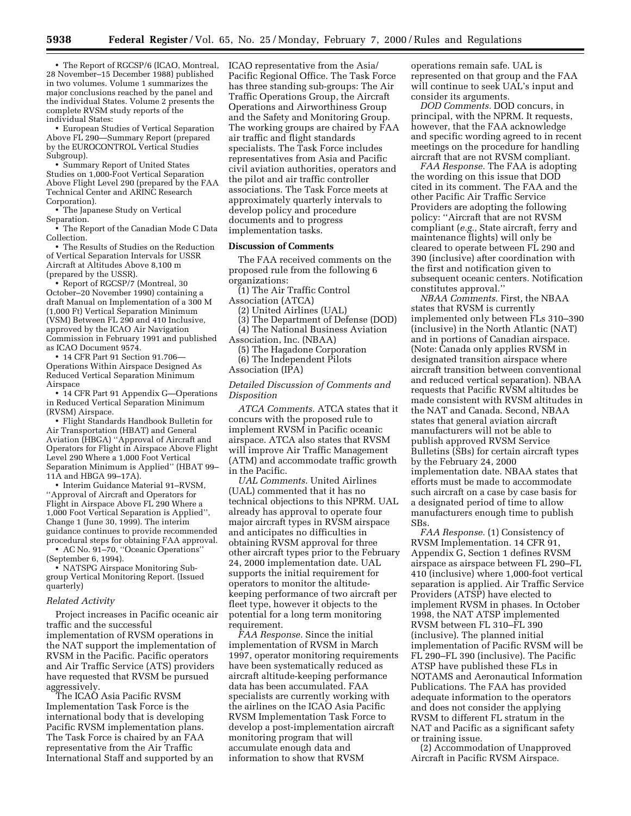• The Report of RGCSP/6 (ICAO, Montreal, 28 November–15 December 1988) published in two volumes. Volume 1 summarizes the major conclusions reached by the panel and the individual States. Volume 2 presents the complete RVSM study reports of the individual States:

• European Studies of Vertical Separation Above FL 290—Summary Report (prepared by the EUROCONTROL Vertical Studies Subgroup).

• Summary Report of United States Studies on 1,000-Foot Vertical Separation Above Flight Level 290 (prepared by the FAA Technical Center and ARINC Research Corporation).

• The Japanese Study on Vertical Separation.

• The Report of the Canadian Mode C Data Collection.

• The Results of Studies on the Reduction of Vertical Separation Intervals for USSR Aircraft at Altitudes Above 8,100 m (prepared by the USSR).

• Report of RGCSP/7 (Montreal, 30 October–20 November 1990) containing a draft Manual on Implementation of a 300 M (1,000 Ft) Vertical Separation Minimum (VSM) Between FL 290 and 410 Inclusive, approved by the ICAO Air Navigation Commission in February 1991 and published as ICAO Document 9574.

• 14 CFR Part 91 Section 91.706— Operations Within Airspace Designed As Reduced Vertical Separation Minimum Airspace

• 14 CFR Part 91 Appendix G—Operations in Reduced Vertical Separation Minimum (RVSM) Airspace.

• Flight Standards Handbook Bulletin for Air Transportation (HBAT) and General Aviation (HBGA) ''Approval of Aircraft and Operators for Flight in Airspace Above Flight Level 290 Where a 1,000 Foot Vertical Separation Minimum is Applied'' (HBAT 99– 11A and HBGA 99–17A).

• Interim Guidance Material 91–RVSM, ''Approval of Aircraft and Operators for Flight in Airspace Above FL 290 Where a 1,000 Foot Vertical Separation is Applied'', Change 1 (June 30, 1999). The interim guidance continues to provide recommended procedural steps for obtaining FAA approval. • AC No. 91–70, ''Oceanic Operations''

(September 6, 1994).

• NATSPG Airspace Monitoring Subgroup Vertical Monitoring Report. (Issued quarterly)

#### *Related Activity*

Project increases in Pacific oceanic air traffic and the successful implementation of RVSM operations in the NAT support the implementation of RVSM in the Pacific. Pacific operators and Air Traffic Service (ATS) providers have requested that RVSM be pursued aggressively.

The ICAO Asia Pacific RVSM Implementation Task Force is the international body that is developing Pacific RVSM implementation plans. The Task Force is chaired by an FAA representative from the Air Traffic International Staff and supported by an ICAO representative from the Asia/ Pacific Regional Office. The Task Force has three standing sub-groups: The Air Traffic Operations Group, the Aircraft Operations and Airworthiness Group and the Safety and Monitoring Group. The working groups are chaired by FAA air traffic and flight standards specialists. The Task Force includes representatives from Asia and Pacific civil aviation authorities, operators and the pilot and air traffic controller associations. The Task Force meets at approximately quarterly intervals to develop policy and procedure documents and to progress implementation tasks.

#### **Discussion of Comments**

The FAA received comments on the proposed rule from the following 6 organizations:

(1) The Air Traffic Control Association (ATCA)

(2) United Airlines (UAL)

(3) The Department of Defense (DOD)

(4) The National Business Aviation

Association, Inc. (NBAA) (5) The Hagadone Corporation (6) The Independent Pilots

Association (IPA)

*Detailed Discussion of Comments and Disposition*

*ATCA Comments.* ATCA states that it concurs with the proposed rule to implement RVSM in Pacific oceanic airspace. ATCA also states that RVSM will improve Air Traffic Management (ATM) and accommodate traffic growth in the Pacific.

*UAL Comments.* United Airlines (UAL) commented that it has no technical objections to this NPRM. UAL already has approval to operate four major aircraft types in RVSM airspace and anticipates no difficulties in obtaining RVSM approval for three other aircraft types prior to the February 24, 2000 implementation date. UAL supports the initial requirement for operators to monitor the altitudekeeping performance of two aircraft per fleet type, however it objects to the potential for a long term monitoring requirement.

*FAA Response.* Since the initial implementation of RVSM in March 1997, operator monitoring requirements have been systematically reduced as aircraft altitude-keeping performance data has been accumulated. FAA specialists are currently working with the airlines on the ICAO Asia Pacific RVSM Implementation Task Force to develop a post-implementation aircraft monitoring program that will accumulate enough data and information to show that RVSM

operations remain safe. UAL is represented on that group and the FAA will continue to seek UAL's input and consider its arguments.

*DOD Comments.* DOD concurs, in principal, with the NPRM. It requests, however, that the FAA acknowledge and specific wording agreed to in recent meetings on the procedure for handling aircraft that are not RVSM compliant.

*FAA Response.* The FAA is adopting the wording on this issue that DOD cited in its comment. The FAA and the other Pacific Air Traffic Service Providers are adopting the following policy: ''Aircraft that are not RVSM compliant (*e.g.,* State aircraft, ferry and maintenance flights) will only be cleared to operate between FL 290 and 390 (inclusive) after coordination with the first and notification given to subsequent oceanic centers. Notification constitutes approval.''

*NBAA Comments.* First, the NBAA states that RVSM is currently implemented only between FLs 310–390 (inclusive) in the North Atlantic (NAT) and in portions of Canadian airspace. (Note: Canada only applies RVSM in designated transition airspace where aircraft transition between conventional and reduced vertical separation). NBAA requests that Pacific RVSM altitudes be made consistent with RVSM altitudes in the NAT and Canada. Second, NBAA states that general aviation aircraft manufacturers will not be able to publish approved RVSM Service Bulletins (SBs) for certain aircraft types by the February 24, 2000 implementation date. NBAA states that efforts must be made to accommodate such aircraft on a case by case basis for a designated period of time to allow manufacturers enough time to publish SBs.

*FAA Response.* (1) Consistency of RVSM Implementation. 14 CFR 91, Appendix G, Section 1 defines RVSM airspace as airspace between FL 290–FL 410 (inclusive) where 1,000-foot vertical separation is applied. Air Traffic Service Providers (ATSP) have elected to implement RVSM in phases. In October 1998, the NAT ATSP implemented RVSM between FL 310–FL 390 (inclusive). The planned initial implementation of Pacific RVSM will be FL 290–FL 390 (inclusive). The Pacific ATSP have published these FLs in NOTAMS and Aeronautical Information Publications. The FAA has provided adequate information to the operators and does not consider the applying RVSM to different FL stratum in the NAT and Pacific as a significant safety or training issue.

(2) Accommodation of Unapproved Aircraft in Pacific RVSM Airspace.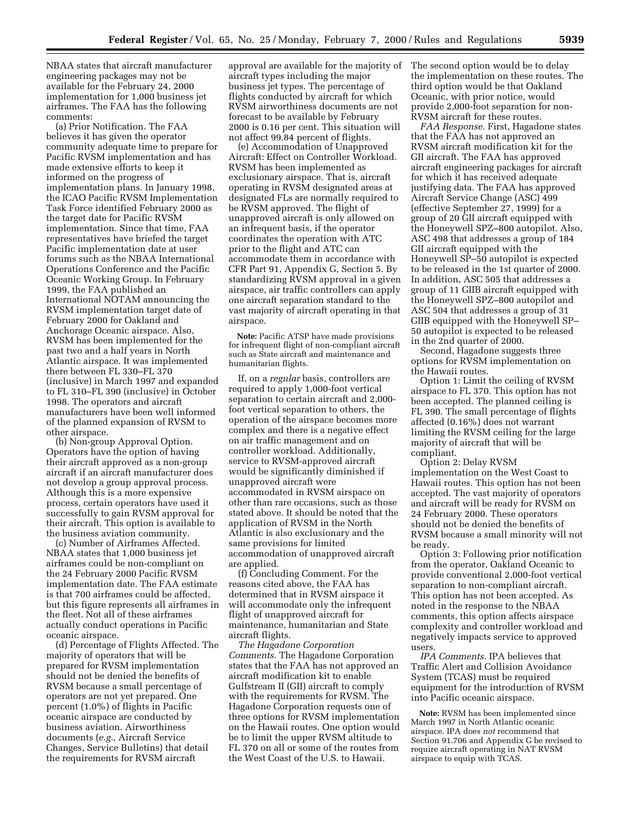NBAA states that aircraft manufacturer engineering packages may not be available for the February 24, 2000 implementation for 1,000 business jet airframes. The FAA has the following comments:

(a) Prior Notification. The FAA believes it has given the operator community adequate time to prepare for Pacific RVSM implementation and has made extensive efforts to keep it informed on the progress of implementation plans. In January 1998, the ICAO Pacific RVSM Implementation Task Force identified February 2000 as the target date for Pacific RVSM implementation. Since that time, FAA representatives have briefed the target Pacific implementation date at user forums such as the NBAA International Operations Conference and the Pacific Oceanic Working Group. In February 1999, the FAA published an International NOTAM announcing the RVSM implementation target date of February 2000 for Oakland and Anchorage Oceanic airspace. Also, RVSM has been implemented for the past two and a half years in North Atlantic airspace. It was implemented there between FL 330–FL 370 (inclusive) in March 1997 and expanded to FL 310–FL 390 (inclusive) in October 1998. The operators and aircraft manufacturers have been well informed of the planned expansion of RVSM to other airspace.

(b) Non-group Approval Option. Operators have the option of having their aircraft approved as a non-group aircraft if an aircraft manufacturer does not develop a group approval process. Although this is a more expensive process, certain operators have used it successfully to gain RVSM approval for their aircraft. This option is available to the business aviation community.

(c) Number of Airframes Affected. NBAA states that 1,000 business jet airframes could be non-compliant on the 24 February 2000 Pacific RVSM implementation date. The FAA estimate is that 700 airframes could be affected, but this figure represents all airframes in the fleet. Not all of these airframes actually conduct operations in Pacific oceanic airspace.

(d) Percentage of Flights Affected. The majority of operators that will be prepared for RVSM implementation should not be denied the benefits of RVSM because a small percentage of operators are not yet prepared. One percent (1.0%) of flights in Pacific oceanic airspace are conducted by business aviation. Airworthiness documents (*e.g.,* Aircraft Service Changes, Service Bulletins) that detail the requirements for RVSM aircraft

approval are available for the majority of aircraft types including the major business jet types. The percentage of flights conducted by aircraft for which RVSM airworthiness documents are not forecast to be available by February 2000 is 0.16 per cent. This situation will not affect 99.84 percent of flights.

(e) Accommodation of Unapproved Aircraft: Effect on Controller Workload. RVSM has been implemented as exclusionary airspace. That is, aircraft operating in RVSM designated areas at designated FLs are normally required to be RVSM approved. The flight of unapproved aircraft is only allowed on an infrequent basis, if the operator coordinates the operation with ATC prior to the flight and ATC can accommodate them in accordance with CFR Part 91, Appendix G, Section 5. By standardizing RVSM approval in a given airspace, air traffic controllers can apply one aircraft separation standard to the vast majority of aircraft operating in that airspace.

**Note:** Pacific ATSP have made provisions for infrequent flight of non-compliant aircraft such as State aircraft and maintenance and humanitarian flights.

If, on a *regular* basis, controllers are required to apply 1,000-foot vertical separation to certain aircraft and 2,000 foot vertical separation to others, the operation of the airspace becomes more complex and there is a negative effect on air traffic management and on controller workload. Additionally, service to RVSM-approved aircraft would be significantly diminished if unapproved aircraft were accommodated in RVSM airspace on other than rare occasions, such as those stated above. It should be noted that the application of RVSM in the North Atlantic is also exclusionary and the same provisions for limited accommodation of unapproved aircraft are applied.

(f) Concluding Comment. For the reasons cited above, the FAA has determined that in RVSM airspace it will accommodate only the infrequent flight of unapproved aircraft for maintenance, humanitarian and State aircraft flights.

*The Hagadone Corporation Comments.* The Hagadone Corporation states that the FAA has not approved an aircraft modification kit to enable Gulfstream II (GII) aircraft to comply with the requirements for RVSM. The Hagadone Corporation requests one of three options for RVSM implementation on the Hawaii routes. One option would be to limit the upper RVSM altitude to FL 370 on all or some of the routes from the West Coast of the U.S. to Hawaii.

The second option would be to delay the implementation on these routes. The third option would be that Oakland Oceanic, with prior notice, would provide 2,000-foot separation for non-RVSM aircraft for these routes.

*FAA Response.* First, Hagadone states that the FAA has not approved an RVSM aircraft modification kit for the GII aircraft. The FAA has approved aircraft engineering packages for aircraft for which it has received adequate justifying data. The FAA has approved Aircraft Service Change (ASC) 499 (effective September 27, 1999) for a group of 20 GII aircraft equipped with the Honeywell SPZ–800 autopilot. Also, ASC 498 that addresses a group of 184 GII aircraft equipped with the Honeywell SP–50 autopilot is expected to be released in the 1st quarter of 2000. In addition, ASC 505 that addresses a group of 11 GIIB aircraft equipped with the Honeywell SPZ–800 autopilot and ASC 504 that addresses a group of 31 GIIB equipped with the Honeywell SP– 50 autopilot is expected to be released in the 2nd quarter of 2000.

Second, Hagadone suggests three options for RVSM implementation on the Hawaii routes.

Option 1: Limit the ceiling of RVSM airspace to FL 370. This option has not been accepted. The planned ceiling is FL 390. The small percentage of flights affected (0.16%) does not warrant limiting the RVSM ceiling for the large majority of aircraft that will be compliant.

Option 2: Delay RVSM implementation on the West Coast to Hawaii routes. This option has not been accepted. The vast majority of operators and aircraft will be ready for RVSM on 24 February 2000. These operators should not be denied the benefits of RVSM because a small minority will not be ready.

Option 3: Following prior notification from the operator, Oakland Oceanic to provide conventional 2,000-foot vertical separation to non-compliant aircraft. This option has not been accepted. As noted in the response to the NBAA comments, this option affects airspace complexity and controller workload and negatively impacts service to approved users.

*IPA Comments.* IPA believes that Traffic Alert and Collision Avoidance System (TCAS) must be required equipment for the introduction of RVSM into Pacific oceanic airspace.

**Note:** RVSM has been implemented since March 1997 in North Atlantic oceanic airspace. IPA does *not* recommend that Section 91.706 and Appendix G be revised to require aircraft operating in NAT RVSM airspace to equip with TCAS.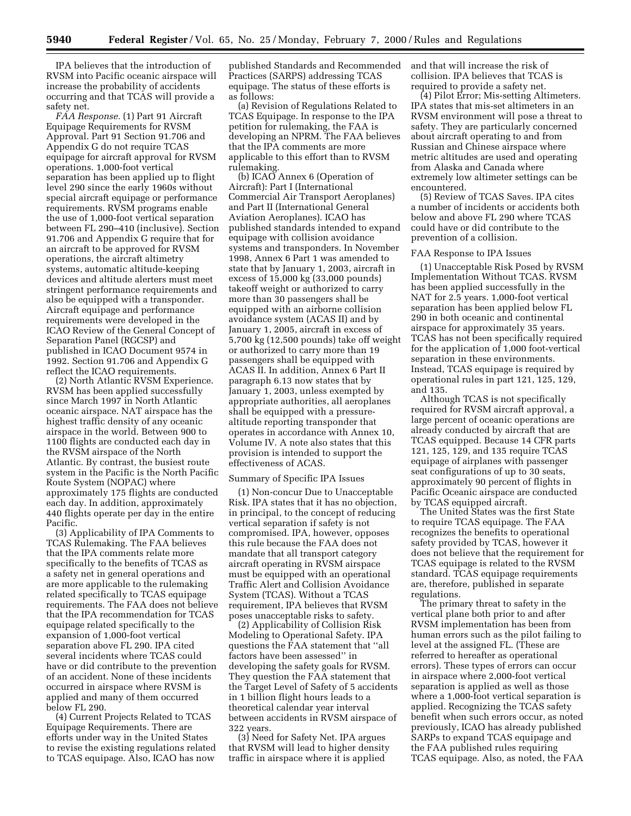IPA believes that the introduction of RVSM into Pacific oceanic airspace will increase the probability of accidents occurring and that TCAS will provide a safety net.

*FAA Response.* (1) Part 91 Aircraft Equipage Requirements for RVSM Approval. Part 91 Section 91.706 and Appendix G do not require TCAS equipage for aircraft approval for RVSM operations. 1,000-foot vertical separation has been applied up to flight level 290 since the early 1960s without special aircraft equipage or performance requirements. RVSM programs enable the use of 1,000-foot vertical separation between FL 290–410 (inclusive). Section 91.706 and Appendix G require that for an aircraft to be approved for RVSM operations, the aircraft altimetry systems, automatic altitude-keeping devices and altitude alerters must meet stringent performance requirements and also be equipped with a transponder. Aircraft equipage and performance requirements were developed in the ICAO Review of the General Concept of Separation Panel (RGCSP) and published in ICAO Document 9574 in 1992. Section 91.706 and Appendix G reflect the ICAO requirements.

(2) North Atlantic RVSM Experience. RVSM has been applied successfully since March 1997 in North Atlantic oceanic airspace. NAT airspace has the highest traffic density of any oceanic airspace in the world. Between 900 to 1100 flights are conducted each day in the RVSM airspace of the North Atlantic. By contrast, the busiest route system in the Pacific is the North Pacific Route System (NOPAC) where approximately 175 flights are conducted each day. In addition, approximately 440 flights operate per day in the entire Pacific.

(3) Applicability of IPA Comments to TCAS Rulemaking. The FAA believes that the IPA comments relate more specifically to the benefits of TCAS as a safety net in general operations and are more applicable to the rulemaking related specifically to TCAS equipage requirements. The FAA does not believe that the IPA recommendation for TCAS equipage related specifically to the expansion of 1,000-foot vertical separation above FL 290. IPA cited several incidents where TCAS could have or did contribute to the prevention of an accident. None of these incidents occurred in airspace where RVSM is applied and many of them occurred below FL 290.

(4) Current Projects Related to TCAS Equipage Requirements. There are efforts under way in the United States to revise the existing regulations related to TCAS equipage. Also, ICAO has now

published Standards and Recommended Practices (SARPS) addressing TCAS equipage. The status of these efforts is as follows:

(a) Revision of Regulations Related to TCAS Equipage. In response to the IPA petition for rulemaking, the FAA is developing an NPRM. The FAA believes that the IPA comments are more applicable to this effort than to RVSM rulemaking.

(b) ICAO Annex 6 (Operation of Aircraft): Part I (International Commercial Air Transport Aeroplanes) and Part II (International General Aviation Aeroplanes). ICAO has published standards intended to expand equipage with collision avoidance systems and transponders. In November 1998, Annex 6 Part 1 was amended to state that by January 1, 2003, aircraft in excess of 15,000 kg (33,000 pounds) takeoff weight or authorized to carry more than 30 passengers shall be equipped with an airborne collision avoidance system (ACAS II) and by January 1, 2005, aircraft in excess of 5,700 kg (12,500 pounds) take off weight or authorized to carry more than 19 passengers shall be equipped with ACAS II. In addition, Annex 6 Part II paragraph 6.13 now states that by January 1, 2003, unless exempted by appropriate authorities, all aeroplanes shall be equipped with a pressurealtitude reporting transponder that operates in accordance with Annex 10, Volume IV. A note also states that this provision is intended to support the effectiveness of ACAS.

# Summary of Specific IPA Issues

(1) Non-concur Due to Unacceptable Risk. IPA states that it has no objection, in principal, to the concept of reducing vertical separation if safety is not compromised. IPA, however, opposes this rule because the FAA does not mandate that all transport category aircraft operating in RVSM airspace must be equipped with an operational Traffic Alert and Collision Avoidance System (TCAS). Without a TCAS requirement, IPA believes that RVSM poses unacceptable risks to safety.

(2) Applicability of Collision Risk Modeling to Operational Safety. IPA questions the FAA statement that ''all factors have been assessed'' in developing the safety goals for RVSM. They question the FAA statement that the Target Level of Safety of 5 accidents in 1 billion flight hours leads to a theoretical calendar year interval between accidents in RVSM airspace of 322 years.

(3) Need for Safety Net. IPA argues that RVSM will lead to higher density traffic in airspace where it is applied

and that will increase the risk of collision. IPA believes that TCAS is required to provide a safety net.

(4) Pilot Error; Mis-setting Altimeters. IPA states that mis-set altimeters in an RVSM environment will pose a threat to safety. They are particularly concerned about aircraft operating to and from Russian and Chinese airspace where metric altitudes are used and operating from Alaska and Canada where extremely low altimeter settings can be encountered.

(5) Review of TCAS Saves. IPA cites a number of incidents or accidents both below and above FL 290 where TCAS could have or did contribute to the prevention of a collision.

# FAA Response to IPA Issues

(1) Unacceptable Risk Posed by RVSM Implementation Without TCAS. RVSM has been applied successfully in the NAT for 2.5 years. 1,000-foot vertical separation has been applied below FL 290 in both oceanic and continental airspace for approximately 35 years. TCAS has not been specifically required for the application of 1,000 foot-vertical separation in these environments. Instead, TCAS equipage is required by operational rules in part 121, 125, 129, and 135.

Although TCAS is not specifically required for RVSM aircraft approval, a large percent of oceanic operations are already conducted by aircraft that are TCAS equipped. Because 14 CFR parts 121, 125, 129, and 135 require TCAS equipage of airplanes with passenger seat configurations of up to 30 seats, approximately 90 percent of flights in Pacific Oceanic airspace are conducted by TCAS equipped aircraft.

The United States was the first State to require TCAS equipage. The FAA recognizes the benefits to operational safety provided by TCAS, however it does not believe that the requirement for TCAS equipage is related to the RVSM standard. TCAS equipage requirements are, therefore, published in separate regulations.

The primary threat to safety in the vertical plane both prior to and after RVSM implementation has been from human errors such as the pilot failing to level at the assigned FL. (These are referred to hereafter as operational errors). These types of errors can occur in airspace where 2,000-foot vertical separation is applied as well as those where a 1,000-foot vertical separation is applied. Recognizing the TCAS safety benefit when such errors occur, as noted previously, ICAO has already published SARPs to expand TCAS equipage and the FAA published rules requiring TCAS equipage. Also, as noted, the FAA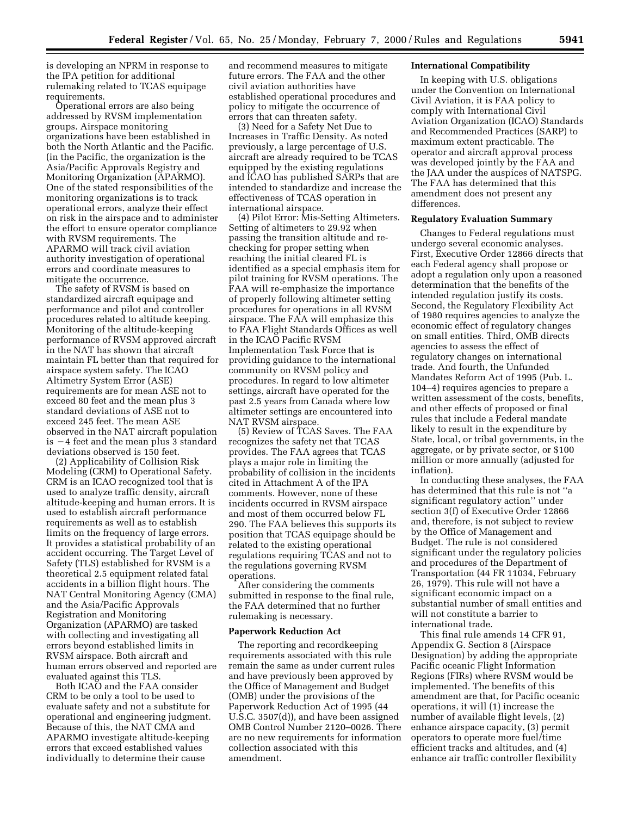is developing an NPRM in response to the IPA petition for additional rulemaking related to TCAS equipage requirements.

Operational errors are also being addressed by RVSM implementation groups. Airspace monitoring organizations have been established in both the North Atlantic and the Pacific. (in the Pacific, the organization is the Asia/Pacific Approvals Registry and Monitoring Organization (APARMO). One of the stated responsibilities of the monitoring organizations is to track operational errors, analyze their effect on risk in the airspace and to administer the effort to ensure operator compliance with RVSM requirements. The APARMO will track civil aviation authority investigation of operational errors and coordinate measures to mitigate the occurrence.

The safety of RVSM is based on standardized aircraft equipage and performance and pilot and controller procedures related to altitude keeping. Monitoring of the altitude-keeping performance of RVSM approved aircraft in the NAT has shown that aircraft maintain FL better than that required for airspace system safety. The ICAO Altimetry System Error (ASE) requirements are for mean ASE not to exceed 80 feet and the mean plus 3 standard deviations of ASE not to exceed 245 feet. The mean ASE observed in the NAT aircraft population is  $-4$  feet and the mean plus 3 standard deviations observed is 150 feet.

(2) Applicability of Collision Risk Modeling (CRM) to Operational Safety. CRM is an ICAO recognized tool that is used to analyze traffic density, aircraft altitude-keeping and human errors. It is used to establish aircraft performance requirements as well as to establish limits on the frequency of large errors. It provides a statistical probability of an accident occurring. The Target Level of Safety (TLS) established for RVSM is a theoretical 2.5 equipment related fatal accidents in a billion flight hours. The NAT Central Monitoring Agency (CMA) and the Asia/Pacific Approvals Registration and Monitoring Organization (APARMO) are tasked with collecting and investigating all errors beyond established limits in RVSM airspace. Both aircraft and human errors observed and reported are evaluated against this TLS.

Both ICAO and the FAA consider CRM to be only a tool to be used to evaluate safety and not a substitute for operational and engineering judgment. Because of this, the NAT CMA and APARMO investigate altitude-keeping errors that exceed established values individually to determine their cause

and recommend measures to mitigate future errors. The FAA and the other civil aviation authorities have established operational procedures and policy to mitigate the occurrence of errors that can threaten safety.

(3) Need for a Safety Net Due to Increases in Traffic Density. As noted previously, a large percentage of U.S. aircraft are already required to be TCAS equipped by the existing regulations and ICAO has published SARPs that are intended to standardize and increase the effectiveness of TCAS operation in international airspace.

(4) Pilot Error: Mis-Setting Altimeters. Setting of altimeters to 29.92 when passing the transition altitude and rechecking for proper setting when reaching the initial cleared FL is identified as a special emphasis item for pilot training for RVSM operations. The FAA will re-emphasize the importance of properly following altimeter setting procedures for operations in all RVSM airspace. The FAA will emphasize this to FAA Flight Standards Offices as well in the ICAO Pacific RVSM Implementation Task Force that is providing guidance to the international community on RVSM policy and procedures. In regard to low altimeter settings, aircraft have operated for the past 2.5 years from Canada where low altimeter settings are encountered into NAT RVSM airspace.

(5) Review of TCAS Saves. The FAA recognizes the safety net that TCAS provides. The FAA agrees that TCAS plays a major role in limiting the probability of collision in the incidents cited in Attachment A of the IPA comments. However, none of these incidents occurred in RVSM airspace and most of them occurred below FL 290. The FAA believes this supports its position that TCAS equipage should be related to the existing operational regulations requiring TCAS and not to the regulations governing RVSM operations.

After considering the comments submitted in response to the final rule, the FAA determined that no further rulemaking is necessary.

#### **Paperwork Reduction Act**

The reporting and recordkeeping requirements associated with this rule remain the same as under current rules and have previously been approved by the Office of Management and Budget (OMB) under the provisions of the Paperwork Reduction Act of 1995 (44 U.S.C. 3507(d)), and have been assigned OMB Control Number 2120–0026. There are no new requirements for information collection associated with this amendment.

### **International Compatibility**

In keeping with U.S. obligations under the Convention on International Civil Aviation, it is FAA policy to comply with International Civil Aviation Organization (ICAO) Standards and Recommended Practices (SARP) to maximum extent practicable. The operator and aircraft approval process was developed jointly by the FAA and the JAA under the auspices of NATSPG. The FAA has determined that this amendment does not present any differences.

#### **Regulatory Evaluation Summary**

Changes to Federal regulations must undergo several economic analyses. First, Executive Order 12866 directs that each Federal agency shall propose or adopt a regulation only upon a reasoned determination that the benefits of the intended regulation justify its costs. Second, the Regulatory Flexibility Act of 1980 requires agencies to analyze the economic effect of regulatory changes on small entities. Third, OMB directs agencies to assess the effect of regulatory changes on international trade. And fourth, the Unfunded Mandates Reform Act of 1995 (Pub. L. 104–4) requires agencies to prepare a written assessment of the costs, benefits, and other effects of proposed or final rules that include a Federal mandate likely to result in the expenditure by State, local, or tribal governments, in the aggregate, or by private sector, or \$100 million or more annually (adjusted for inflation).

In conducting these analyses, the FAA has determined that this rule is not ''a significant regulatory action'' under section 3(f) of Executive Order 12866 and, therefore, is not subject to review by the Office of Management and Budget. The rule is not considered significant under the regulatory policies and procedures of the Department of Transportation (44 FR 11034, February 26, 1979). This rule will not have a significant economic impact on a substantial number of small entities and will not constitute a barrier to international trade.

This final rule amends 14 CFR 91, Appendix G. Section 8 (Airspace Designation) by adding the appropriate Pacific oceanic Flight Information Regions (FIRs) where RVSM would be implemented. The benefits of this amendment are that, for Pacific oceanic operations, it will (1) increase the number of available flight levels, (2) enhance airspace capacity, (3) permit operators to operate more fuel/time efficient tracks and altitudes, and (4) enhance air traffic controller flexibility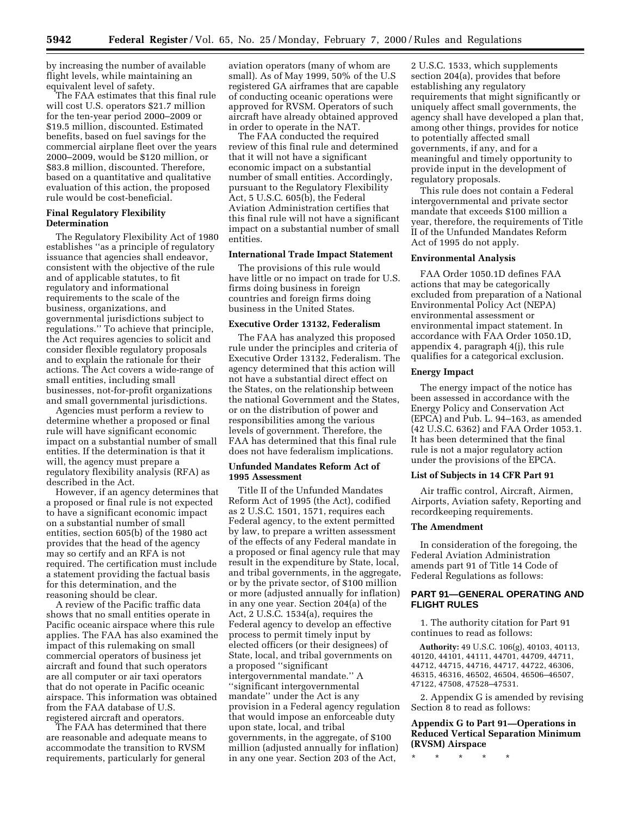by increasing the number of available flight levels, while maintaining an equivalent level of safety.

The FAA estimates that this final rule will cost U.S. operators \$21.7 million for the ten-year period 2000–2009 or \$19.5 million, discounted. Estimated benefits, based on fuel savings for the commercial airplane fleet over the years 2000–2009, would be \$120 million, or \$83.8 million, discounted. Therefore, based on a quantitative and qualitative evaluation of this action, the proposed rule would be cost-beneficial.

# **Final Regulatory Flexibility Determination**

The Regulatory Flexibility Act of 1980 establishes ''as a principle of regulatory issuance that agencies shall endeavor, consistent with the objective of the rule and of applicable statutes, to fit regulatory and informational requirements to the scale of the business, organizations, and governmental jurisdictions subject to regulations.'' To achieve that principle, the Act requires agencies to solicit and consider flexible regulatory proposals and to explain the rationale for their actions. The Act covers a wide-range of small entities, including small businesses, not-for-profit organizations and small governmental jurisdictions.

Agencies must perform a review to determine whether a proposed or final rule will have significant economic impact on a substantial number of small entities. If the determination is that it will, the agency must prepare a regulatory flexibility analysis (RFA) as described in the Act.

However, if an agency determines that a proposed or final rule is not expected to have a significant economic impact on a substantial number of small entities, section 605(b) of the 1980 act provides that the head of the agency may so certify and an RFA is not required. The certification must include a statement providing the factual basis for this determination, and the reasoning should be clear.

A review of the Pacific traffic data shows that no small entities operate in Pacific oceanic airspace where this rule applies. The FAA has also examined the impact of this rulemaking on small commercial operators of business jet aircraft and found that such operators are all computer or air taxi operators that do not operate in Pacific oceanic airspace. This information was obtained from the FAA database of U.S. registered aircraft and operators.

The FAA has determined that there are reasonable and adequate means to accommodate the transition to RVSM requirements, particularly for general

aviation operators (many of whom are small). As of May 1999, 50% of the U.S registered GA airframes that are capable of conducting oceanic operations were approved for RVSM. Operators of such aircraft have already obtained approved in order to operate in the NAT.

The FAA conducted the required review of this final rule and determined that it will not have a significant economic impact on a substantial number of small entities. Accordingly, pursuant to the Regulatory Flexibility Act, 5 U.S.C. 605(b), the Federal Aviation Administration certifies that this final rule will not have a significant impact on a substantial number of small entities.

### **International Trade Impact Statement**

The provisions of this rule would have little or no impact on trade for U.S. firms doing business in foreign countries and foreign firms doing business in the United States.

# **Executive Order 13132, Federalism**

The FAA has analyzed this proposed rule under the principles and criteria of Executive Order 13132, Federalism. The agency determined that this action will not have a substantial direct effect on the States, on the relationship between the national Government and the States, or on the distribution of power and responsibilities among the various levels of government. Therefore, the FAA has determined that this final rule does not have federalism implications.

# **Unfunded Mandates Reform Act of 1995 Assessment**

Title II of the Unfunded Mandates Reform Act of 1995 (the Act), codified as 2 U.S.C. 1501, 1571, requires each Federal agency, to the extent permitted by law, to prepare a written assessment of the effects of any Federal mandate in a proposed or final agency rule that may result in the expenditure by State, local, and tribal governments, in the aggregate, or by the private sector, of \$100 million or more (adjusted annually for inflation) in any one year. Section 204(a) of the Act, 2 U.S.C. 1534(a), requires the Federal agency to develop an effective process to permit timely input by elected officers (or their designees) of State, local, and tribal governments on a proposed ''significant intergovernmental mandate.'' A ''significant intergovernmental mandate'' under the Act is any provision in a Federal agency regulation that would impose an enforceable duty upon state, local, and tribal governments, in the aggregate, of \$100 million (adjusted annually for inflation) in any one year. Section 203 of the Act,

2 U.S.C. 1533, which supplements section 204(a), provides that before establishing any regulatory requirements that might significantly or uniquely affect small governments, the agency shall have developed a plan that, among other things, provides for notice to potentially affected small governments, if any, and for a meaningful and timely opportunity to provide input in the development of regulatory proposals.

This rule does not contain a Federal intergovernmental and private sector mandate that exceeds \$100 million a year, therefore, the requirements of Title II of the Unfunded Mandates Reform Act of 1995 do not apply.

#### **Environmental Analysis**

FAA Order 1050.1D defines FAA actions that may be categorically excluded from preparation of a National Environmental Policy Act (NEPA) environmental assessment or environmental impact statement. In accordance with FAA Order 1050.1D, appendix 4, paragraph 4(j), this rule qualifies for a categorical exclusion.

# **Energy Impact**

The energy impact of the notice has been assessed in accordance with the Energy Policy and Conservation Act (EPCA) and Pub. L. 94–163, as amended (42 U.S.C. 6362) and FAA Order 1053.1. It has been determined that the final rule is not a major regulatory action under the provisions of the EPCA.

# **List of Subjects in 14 CFR Part 91**

Air traffic control, Aircraft, Airmen, Airports, Aviation safety, Reporting and recordkeeping requirements.

### **The Amendment**

In consideration of the foregoing, the Federal Aviation Administration amends part 91 of Title 14 Code of Federal Regulations as follows:

# **PART 91—GENERAL OPERATING AND FLIGHT RULES**

1. The authority citation for Part 91 continues to read as follows:

**Authority:** 49 U.S.C. 106(g), 40103, 40113, 40120, 44101, 44111, 44701, 44709, 44711, 44712, 44715, 44716, 44717, 44722, 46306, 46315, 46316, 46502, 46504, 46506–46507, 47122, 47508, 47528–47531.

2. Appendix G is amended by revising Section 8 to read as follows:

**Appendix G to Part 91—Operations in Reduced Vertical Separation Minimum (RVSM) Airspace**

\* \* \* \* \*